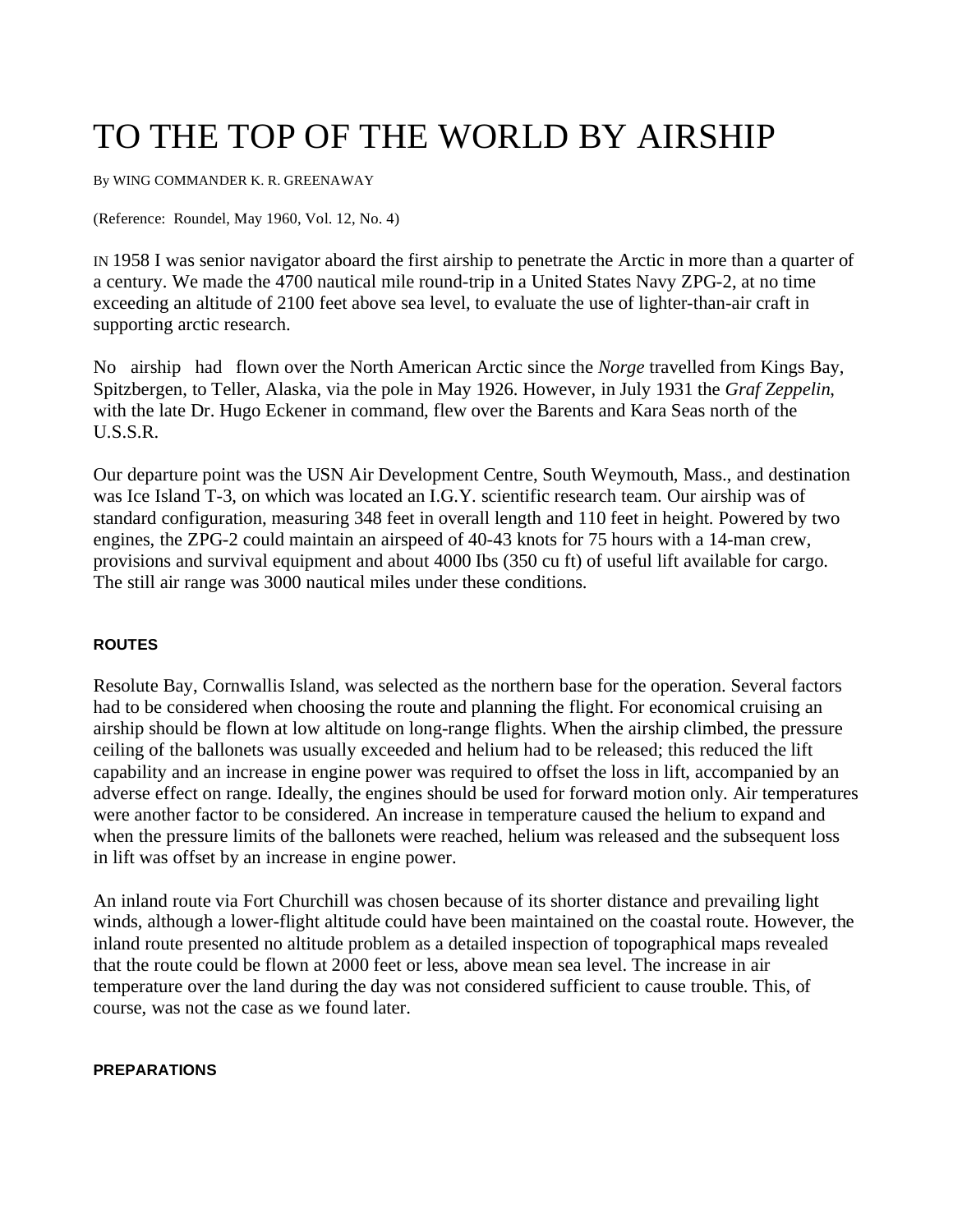# TO THE TOP OF THE WORLD BY AIRSHIP

By WING COMMANDER K. R. GREENAWAY

(Reference: Roundel, May 1960, Vol. 12, No. 4)

IN 1958 I was senior navigator aboard the first airship to penetrate the Arctic in more than a quarter of a century. We made the 4700 nautical mile round-trip in a United States Navy ZPG-2, at no time exceeding an altitude of 2100 feet above sea level, to evaluate the use of lighter-than-air craft in supporting arctic research.

No airship had flown over the North American Arctic since the *Norge* travelled from Kings Bay, Spitzbergen, to Teller, Alaska, via the pole in May 1926. However, in July 1931 the *Graf Zeppelin*, with the late Dr. Hugo Eckener in command, flew over the Barents and Kara Seas north of the U.S.S.R.

Our departure point was the USN Air Development Centre, South Weymouth, Mass., and destination was Ice Island T-3, on which was located an I.G.Y. scientific research team. Our airship was of standard configuration, measuring 348 feet in overall length and 110 feet in height. Powered by two engines, the ZPG-2 could maintain an airspeed of 40-43 knots for 75 hours with a 14-man crew, provisions and survival equipment and about 4000 Ibs (350 cu ft) of useful lift available for cargo. The still air range was 3000 nautical miles under these conditions.

## **ROUTES**

Resolute Bay, Cornwallis Island, was selected as the northern base for the operation. Several factors had to be considered when choosing the route and planning the flight. For economical cruising an airship should be flown at low altitude on long-range flights. When the airship climbed, the pressure ceiling of the ballonets was usually exceeded and helium had to be released; this reduced the lift capability and an increase in engine power was required to offset the loss in lift, accompanied by an adverse effect on range. Ideally, the engines should be used for forward motion only. Air temperatures were another factor to be considered. An increase in temperature caused the helium to expand and when the pressure limits of the ballonets were reached, helium was released and the subsequent loss in lift was offset by an increase in engine power.

An inland route via Fort Churchill was chosen because of its shorter distance and prevailing light winds, although a lower-flight altitude could have been maintained on the coastal route. However, the inland route presented no altitude problem as a detailed inspection of topographical maps revealed that the route could be flown at 2000 feet or less, above mean sea level. The increase in air temperature over the land during the day was not considered sufficient to cause trouble. This, of course, was not the case as we found later.

#### **PREPARATIONS**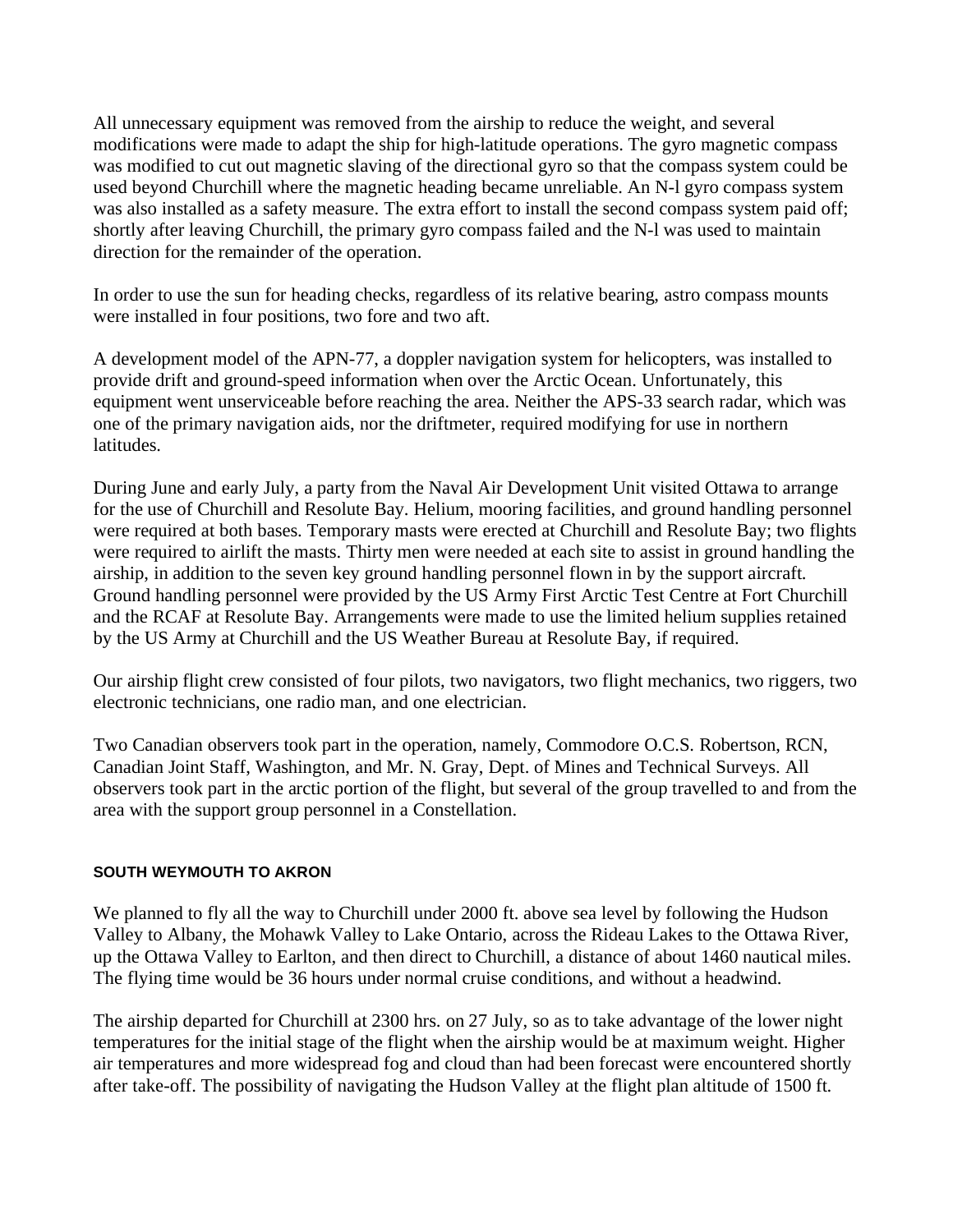All unnecessary equipment was removed from the airship to reduce the weight, and several modifications were made to adapt the ship for high-latitude operations. The gyro magnetic compass was modified to cut out magnetic slaving of the directional gyro so that the compass system could be used beyond Churchill where the magnetic heading became unreliable. An N-l gyro compass system was also installed as a safety measure. The extra effort to install the second compass system paid off; shortly after leaving Churchill, the primary gyro compass failed and the N-l was used to maintain direction for the remainder of the operation.

In order to use the sun for heading checks, regardless of its relative bearing, astro compass mounts were installed in four positions, two fore and two aft.

A development model of the APN-77, a doppler navigation system for helicopters, was installed to provide drift and ground-speed information when over the Arctic Ocean. Unfortunately, this equipment went unserviceable before reaching the area. Neither the APS-33 search radar, which was one of the primary navigation aids, nor the driftmeter, required modifying for use in northern latitudes.

During June and early July, a party from the Naval Air Development Unit visited Ottawa to arrange for the use of Churchill and Resolute Bay. Helium, mooring facilities, and ground handling personnel were required at both bases. Temporary masts were erected at Churchill and Resolute Bay; two flights were required to airlift the masts. Thirty men were needed at each site to assist in ground handling the airship, in addition to the seven key ground handling personnel flown in by the support aircraft. Ground handling personnel were provided by the US Army First Arctic Test Centre at Fort Churchill and the RCAF at Resolute Bay. Arrangements were made to use the limited helium supplies retained by the US Army at Churchill and the US Weather Bureau at Resolute Bay, if required.

Our airship flight crew consisted of four pilots, two navigators, two flight mechanics, two riggers, two electronic technicians, one radio man, and one electrician.

Two Canadian observers took part in the operation, namely, Commodore O.C.S. Robertson, RCN, Canadian Joint Staff, Washington, and Mr. N. Gray, Dept. of Mines and Technical Surveys. All observers took part in the arctic portion of the flight, but several of the group travelled to and from the area with the support group personnel in a Constellation.

## **SOUTH WEYMOUTH TO AKRON**

We planned to fly all the way to Churchill under 2000 ft. above sea level by following the Hudson Valley to Albany, the Mohawk Valley to Lake Ontario, across the Rideau Lakes to the Ottawa River, up the Ottawa Valley to Earlton, and then direct to Churchill, a distance of about 1460 nautical miles. The flying time would be 36 hours under normal cruise conditions, and without a headwind.

The airship departed for Churchill at 2300 hrs. on 27 July, so as to take advantage of the lower night temperatures for the initial stage of the flight when the airship would be at maximum weight. Higher air temperatures and more widespread fog and cloud than had been forecast were encountered shortly after take-off. The possibility of navigating the Hudson Valley at the flight plan altitude of 1500 ft.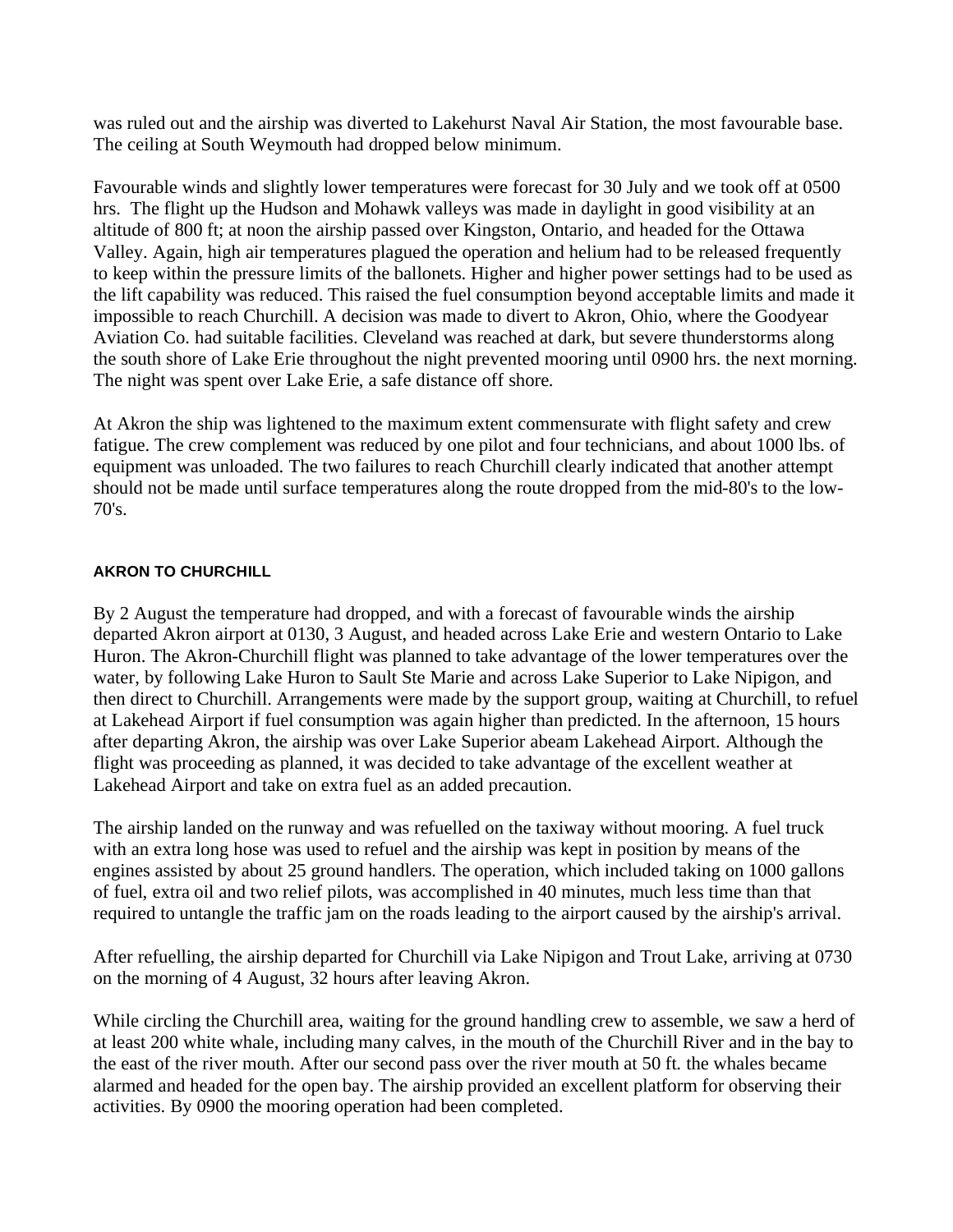was ruled out and the airship was diverted to Lakehurst Naval Air Station, the most favourable base. The ceiling at South Weymouth had dropped below minimum.

Favourable winds and slightly lower temperatures were forecast for 30 July and we took off at 0500 hrs. The flight up the Hudson and Mohawk valleys was made in daylight in good visibility at an altitude of 800 ft; at noon the airship passed over Kingston, Ontario, and headed for the Ottawa Valley. Again, high air temperatures plagued the operation and helium had to be released frequently to keep within the pressure limits of the ballonets. Higher and higher power settings had to be used as the lift capability was reduced. This raised the fuel consumption beyond acceptable limits and made it impossible to reach Churchill. A decision was made to divert to Akron, Ohio, where the Goodyear Aviation Co. had suitable facilities. Cleveland was reached at dark, but severe thunderstorms along the south shore of Lake Erie throughout the night prevented mooring until 0900 hrs. the next morning. The night was spent over Lake Erie, a safe distance off shore.

At Akron the ship was lightened to the maximum extent commensurate with flight safety and crew fatigue. The crew complement was reduced by one pilot and four technicians, and about 1000 lbs. of equipment was unloaded. The two failures to reach Churchill clearly indicated that another attempt should not be made until surface temperatures along the route dropped from the mid-80's to the low-70's.

#### **AKRON TO CHURCHILL**

By 2 August the temperature had dropped, and with a forecast of favourable winds the airship departed Akron airport at 0130, 3 August, and headed across Lake Erie and western Ontario to Lake Huron. The Akron-Churchill flight was planned to take advantage of the lower temperatures over the water, by following Lake Huron to Sault Ste Marie and across Lake Superior to Lake Nipigon, and then direct to Churchill. Arrangements were made by the support group, waiting at Churchill, to refuel at Lakehead Airport if fuel consumption was again higher than predicted. In the afternoon, 15 hours after departing Akron, the airship was over Lake Superior abeam Lakehead Airport. Although the flight was proceeding as planned, it was decided to take advantage of the excellent weather at Lakehead Airport and take on extra fuel as an added precaution.

The airship landed on the runway and was refuelled on the taxiway without mooring. A fuel truck with an extra long hose was used to refuel and the airship was kept in position by means of the engines assisted by about 25 ground handlers. The operation, which included taking on 1000 gallons of fuel, extra oil and two relief pilots, was accomplished in 40 minutes, much less time than that required to untangle the traffic jam on the roads leading to the airport caused by the airship's arrival.

After refuelling, the airship departed for Churchill via Lake Nipigon and Trout Lake, arriving at 0730 on the morning of 4 August, 32 hours after leaving Akron.

While circling the Churchill area, waiting for the ground handling crew to assemble, we saw a herd of at least 200 white whale, including many calves, in the mouth of the Churchill River and in the bay to the east of the river mouth. After our second pass over the river mouth at 50 ft. the whales became alarmed and headed for the open bay. The airship provided an excellent platform for observing their activities. By 0900 the mooring operation had been completed.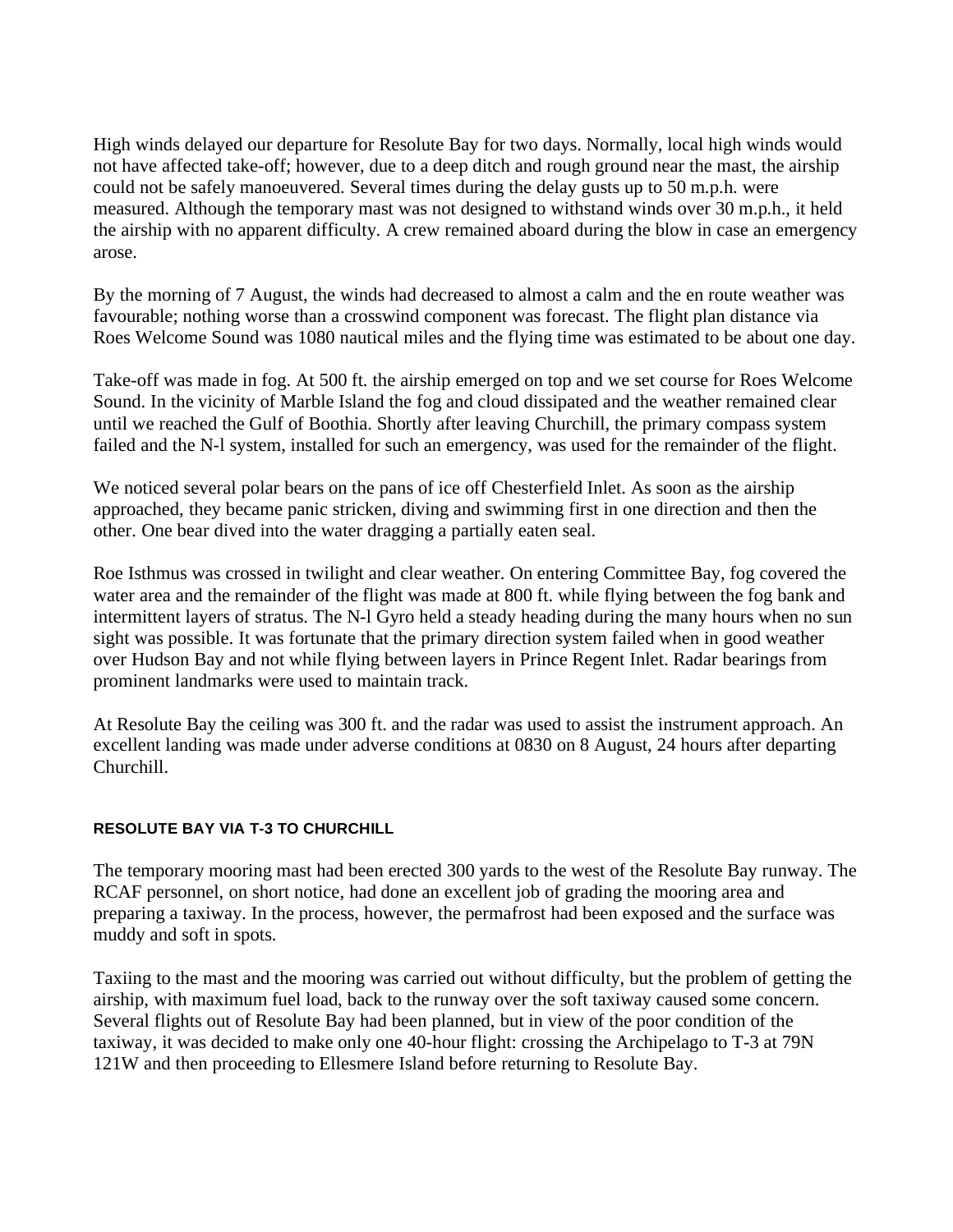High winds delayed our departure for Resolute Bay for two days. Normally, local high winds would not have affected take-off; however, due to a deep ditch and rough ground near the mast, the airship could not be safely manoeuvered. Several times during the delay gusts up to 50 m.p.h. were measured. Although the temporary mast was not designed to withstand winds over 30 m.p.h., it held the airship with no apparent difficulty. A crew remained aboard during the blow in case an emergency arose.

By the morning of 7 August, the winds had decreased to almost a calm and the en route weather was favourable; nothing worse than a crosswind component was forecast. The flight plan distance via Roes Welcome Sound was 1080 nautical miles and the flying time was estimated to be about one day.

Take-off was made in fog. At 500 ft. the airship emerged on top and we set course for Roes Welcome Sound. In the vicinity of Marble Island the fog and cloud dissipated and the weather remained clear until we reached the Gulf of Boothia. Shortly after leaving Churchill, the primary compass system failed and the N-l system, installed for such an emergency, was used for the remainder of the flight.

We noticed several polar bears on the pans of ice off Chesterfield Inlet. As soon as the airship approached, they became panic stricken, diving and swimming first in one direction and then the other. One bear dived into the water dragging a partially eaten seal.

Roe Isthmus was crossed in twilight and clear weather. On entering Committee Bay, fog covered the water area and the remainder of the flight was made at 800 ft. while flying between the fog bank and intermittent layers of stratus. The N-l Gyro held a steady heading during the many hours when no sun sight was possible. It was fortunate that the primary direction system failed when in good weather over Hudson Bay and not while flying between layers in Prince Regent Inlet. Radar bearings from prominent landmarks were used to maintain track.

At Resolute Bay the ceiling was 300 ft. and the radar was used to assist the instrument approach. An excellent landing was made under adverse conditions at 0830 on 8 August, 24 hours after departing Churchill.

## **RESOLUTE BAY VIA T-3 TO CHURCHILL**

The temporary mooring mast had been erected 300 yards to the west of the Resolute Bay runway. The RCAF personnel, on short notice, had done an excellent job of grading the mooring area and preparing a taxiway. In the process, however, the permafrost had been exposed and the surface was muddy and soft in spots.

Taxiing to the mast and the mooring was carried out without difficulty, but the problem of getting the airship, with maximum fuel load, back to the runway over the soft taxiway caused some concern. Several flights out of Resolute Bay had been planned, but in view of the poor condition of the taxiway, it was decided to make only one 40-hour flight: crossing the Archipelago to T-3 at 79N 121W and then proceeding to Ellesmere Island before returning to Resolute Bay.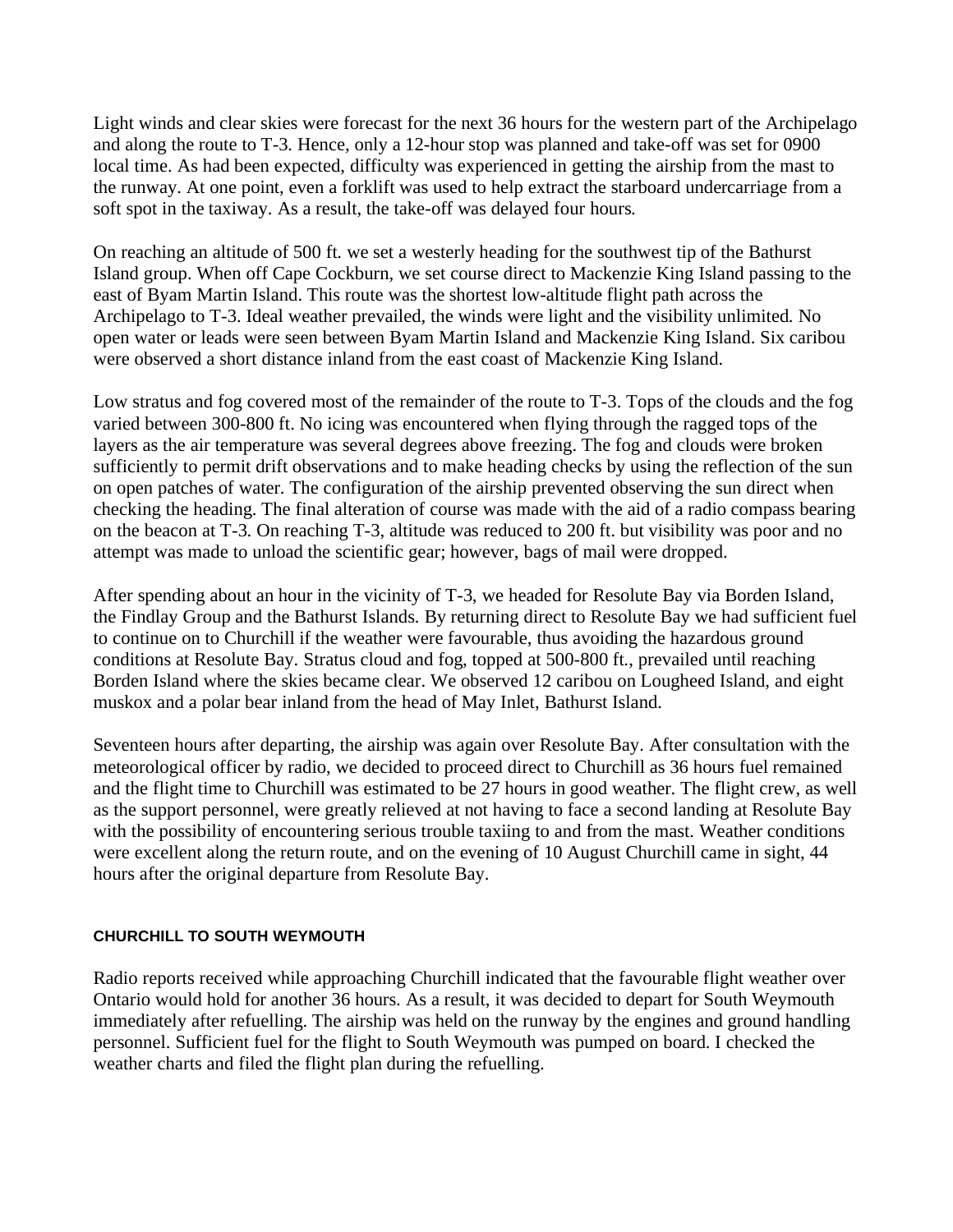Light winds and clear skies were forecast for the next 36 hours for the western part of the Archipelago and along the route to T-3. Hence, only a 12-hour stop was planned and take-off was set for 0900 local time. As had been expected, difficulty was experienced in getting the airship from the mast to the runway. At one point, even a forklift was used to help extract the starboard undercarriage from a soft spot in the taxiway. As a result, the take-off was delayed four hours.

On reaching an altitude of 500 ft. we set a westerly heading for the southwest tip of the Bathurst Island group. When off Cape Cockburn, we set course direct to Mackenzie King Island passing to the east of Byam Martin Island. This route was the shortest low-altitude flight path across the Archipelago to T-3. Ideal weather prevailed, the winds were light and the visibility unlimited. No open water or leads were seen between Byam Martin Island and Mackenzie King Island. Six caribou were observed a short distance inland from the east coast of Mackenzie King Island.

Low stratus and fog covered most of the remainder of the route to T-3. Tops of the clouds and the fog varied between 300-800 ft. No icing was encountered when flying through the ragged tops of the layers as the air temperature was several degrees above freezing. The fog and clouds were broken sufficiently to permit drift observations and to make heading checks by using the reflection of the sun on open patches of water. The configuration of the airship prevented observing the sun direct when checking the heading. The final alteration of course was made with the aid of a radio compass bearing on the beacon at T-3. On reaching T-3, altitude was reduced to 200 ft. but visibility was poor and no attempt was made to unload the scientific gear; however, bags of mail were dropped.

After spending about an hour in the vicinity of T-3, we headed for Resolute Bay via Borden Island, the Findlay Group and the Bathurst Islands. By returning direct to Resolute Bay we had sufficient fuel to continue on to Churchill if the weather were favourable, thus avoiding the hazardous ground conditions at Resolute Bay. Stratus cloud and fog, topped at 500-800 ft., prevailed until reaching Borden Island where the skies became clear. We observed 12 caribou on Lougheed Island, and eight muskox and a polar bear inland from the head of May Inlet, Bathurst Island.

Seventeen hours after departing, the airship was again over Resolute Bay. After consultation with the meteorological officer by radio, we decided to proceed direct to Churchill as 36 hours fuel remained and the flight time to Churchill was estimated to be 27 hours in good weather. The flight crew, as well as the support personnel, were greatly relieved at not having to face a second landing at Resolute Bay with the possibility of encountering serious trouble taxiing to and from the mast. Weather conditions were excellent along the return route, and on the evening of 10 August Churchill came in sight, 44 hours after the original departure from Resolute Bay.

## **CHURCHILL TO SOUTH WEYMOUTH**

Radio reports received while approaching Churchill indicated that the favourable flight weather over Ontario would hold for another 36 hours. As a result, it was decided to depart for South Weymouth immediately after refuelling. The airship was held on the runway by the engines and ground handling personnel. Sufficient fuel for the flight to South Weymouth was pumped on board. I checked the weather charts and filed the flight plan during the refuelling.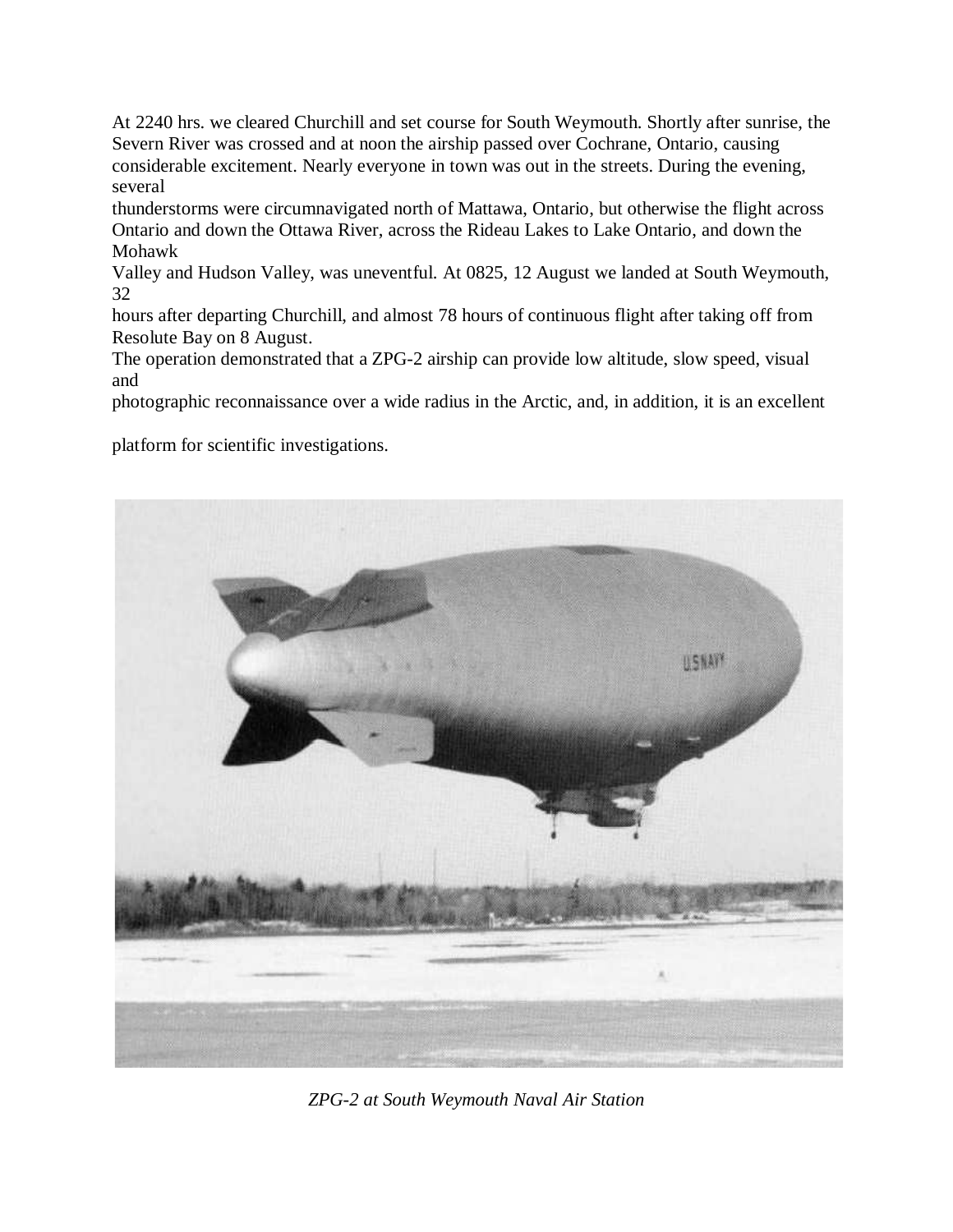At 2240 hrs. we cleared Churchill and set course for South Weymouth. Shortly after sunrise, the Severn River was crossed and at noon the airship passed over Cochrane, Ontario, causing considerable excitement. Nearly everyone in town was out in the streets. During the evening, several

thunderstorms were circumnavigated north of Mattawa, Ontario, but otherwise the flight across Ontario and down the Ottawa River, across the Rideau Lakes to Lake Ontario, and down the Mohawk

Valley and Hudson Valley, was uneventful. At 0825, 12 August we landed at South Weymouth, 32

hours after departing Churchill, and almost 78 hours of continuous flight after taking off from Resolute Bay on 8 August.

The operation demonstrated that a ZPG-2 airship can provide low altitude, slow speed, visual and

photographic reconnaissance over a wide radius in the Arctic, and, in addition, it is an excellent

platform for scientific investigations.



*ZPG-2 at South Weymouth Naval Air Station*